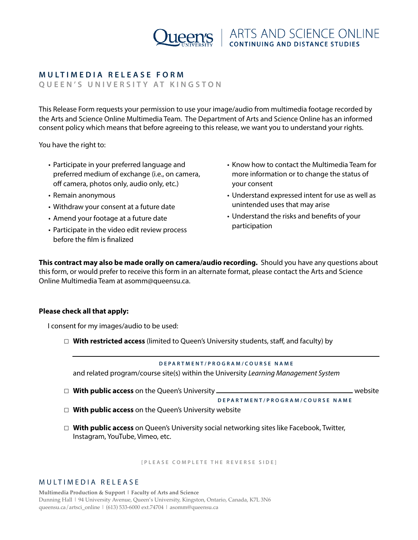

# **MULTIMEDIA RELEASE FORM**

**QUEEN'S UNIVERSITY AT KINGSTON** 

This Release Form requests your permission to use your image/audio from multimedia footage recorded by the Arts and Science Online Multimedia Team. The Department of Arts and Science Online has an informed consent policy which means that before agreeing to this release, we want you to understand your rights.

You have the right to:

- Participate in your preferred language and preferred medium of exchange (i.e., on camera, off camera, photos only, audio only, etc.)
- Remain anonymous
- Withdraw your consent at a future date
- Amend your footage at a future date
- Participate in the video edit review process before the flm is fnalized
- Know how to contact the Multimedia Team for more information or to change the status of your consent
- Understand expressed intent for use as well as unintended uses that may arise
- Understand the risks and benefts of your participation

**This contract may also be made orally on camera/audio recording.** Should you have any questions about this form, or would prefer to receive this form in an alternate format, please contact the Arts and Science Online Multimedia Team at asomm@queensu.ca.

## **Please check all that apply:**

I consent for my images/audio to be used:

☐ **With restricted access** (limited to Queen's University students, staff, and faculty) by

#### **DEPARTMENT/PROGRAM/COURSE NAME**

and related program/course site(s) within the University *Learning Management System*

☐ **With public access** on the Queen's University website

**DEPARTMENT/PROGRAM/COURSE NAME**

- ☐ **With public access** on the Queen's University website
- ☐ **With public access** on Queen's University social networking sites like Facebook, Twitter, Instagram, YouTube, Vimeo, etc.

**[PLEASE COMPLETE THE REVERSE SIDE]**

#### MULTIMEDIA RELEASE

**Multimedia Production & Support | Faculty of Arts and Science** Dunning Hall | 94 University Avenue, Queen's University, Kingston, Ontario, Canada, K7L 3N6 [queensu.ca/artsci\\_online](http://queensu.ca/artsci_online) | (613) 533-6000 ext.74704 | asomm@queensu.ca